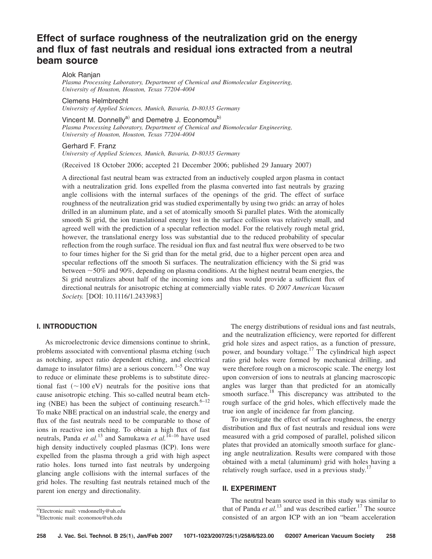# **Effect of surface roughness of the neutralization grid on the energy and flux of fast neutrals and residual ions extracted from a neutral beam source**

Alok Ranjan

*Plasma Processing Laboratory, Department of Chemical and Biomolecular Engineering, University of Houston, Houston, Texas 77204-4004*

Clemens Helmbrecht *University of Applied Sciences, Munich, Bavaria, D-80335 Germany*

Vincent M. Donnelly<sup>a)</sup> and Demetre J. Economou<sup>b)</sup> *Plasma Processing Laboratory, Department of Chemical and Biomolecular Engineering, University of Houston, Houston, Texas 77204-4004*

### Gerhard F. Franz

*University of Applied Sciences, Munich, Bavaria, D-80335 Germany*

(Received 18 October 2006; accepted 21 December 2006; published 29 January 2007)

A directional fast neutral beam was extracted from an inductively coupled argon plasma in contact with a neutralization grid. Ions expelled from the plasma converted into fast neutrals by grazing angle collisions with the internal surfaces of the openings of the grid. The effect of surface roughness of the neutralization grid was studied experimentally by using two grids: an array of holes drilled in an aluminum plate, and a set of atomically smooth Si parallel plates. With the atomically smooth Si grid, the ion translational energy lost in the surface collision was relatively small, and agreed well with the prediction of a specular reflection model. For the relatively rough metal grid, however, the translational energy loss was substantial due to the reduced probability of specular reflection from the rough surface. The residual ion flux and fast neutral flux were observed to be two to four times higher for the Si grid than for the metal grid, due to a higher percent open area and specular reflections off the smooth Si surfaces. The neutralization efficiency with the Si grid was between  $\sim$  50% and 90%, depending on plasma conditions. At the highest neutral beam energies, the Si grid neutralizes about half of the incoming ions and thus would provide a sufficient flux of directional neutrals for anisotropic etching at commercially viable rates. *© 2007 American Vacuum Society.* [DOI: 10.1116/1.2433983]

### **I. INTRODUCTION**

As microelectronic device dimensions continue to shrink, problems associated with conventional plasma etching (such as notching, aspect ratio dependent etching, and electrical damage to insulator films) are a serious concern.<sup>1–5</sup> One way to reduce or eliminate these problems is to substitute directional fast  $(\sim 100 \text{ eV})$  neutrals for the positive ions that cause anisotropic etching. This so-called neutral beam etching (NBE) has been the subject of continuing research. $6-12$ To make NBE practical on an industrial scale, the energy and flux of the fast neutrals need to be comparable to those of ions in reactive ion etching. To obtain a high flux of fast neutrals, Panda *et al.*<sup>13</sup> and Samukawa *et al.*14–16 have used high density inductively coupled plasmas (ICP). Ions were expelled from the plasma through a grid with high aspect ratio holes. Ions turned into fast neutrals by undergoing glancing angle collisions with the internal surfaces of the grid holes. The resulting fast neutrals retained much of the parent ion energy and directionality.

The energy distributions of residual ions and fast neutrals, and the neutralization efficiency, were reported for different grid hole sizes and aspect ratios, as a function of pressure, power, and boundary voltage.<sup>17</sup> The cylindrical high aspect ratio grid holes were formed by mechanical drilling, and were therefore rough on a microscopic scale. The energy lost upon conversion of ions to neutrals at glancing macroscopic angles was larger than that predicted for an atomically smooth surface.<sup>18</sup> This discrepancy was attributed to the rough surface of the grid holes, which effectively made the true ion angle of incidence far from glancing.

To investigate the effect of surface roughness, the energy distribution and flux of fast neutrals and residual ions were measured with a grid composed of parallel, polished silicon plates that provided an atomically smooth surface for glancing angle neutralization. Results were compared with those obtained with a metal (aluminum) grid with holes having a relatively rough surface, used in a previous study.<sup>17</sup>

## **II. EXPERIMENT**

The neutral beam source used in this study was similar to that of Panda  $et$   $al$ <sup>13</sup> and was described earlier.<sup>17</sup> The source consisted of an argon ICP with an ion "beam acceleration

a)Electronic mail: vmdonnelly@uh.edu

<sup>&</sup>lt;sup>b)</sup>Electronic mail: economou@uh.edu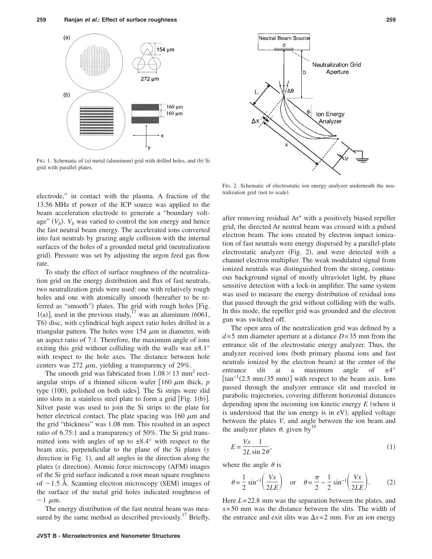

FIG. 1. Schematic of (a) metal (aluminum) grid with drilled holes, and (b) Si grid with parallel plates.

electrode," in contact with the plasma. A fraction of the 13.56 MHz rf power of the ICP source was applied to the beam acceleration electrode to generate a "boundary voltage"  $(V_b)$ .  $V_b$  was varied to control the ion energy and hence the fast neutral beam energy. The accelerated ions converted into fast neutrals by grazing angle collision with the internal surfaces of the holes of a grounded metal grid (neutralization grid). Pressure was set by adjusting the argon feed gas flow rate.

To study the effect of surface roughness of the neutralization grid on the energy distribution and flux of fast neutrals, two neutralization grids were used: one with relatively rough holes and one with atomically smooth (hereafter to be referred as "smooth") plates. The grid with rough holes [Fig. 1(a)], used in the previous study,  $^{17}$  was an aluminum (6061, T6) disc, with cylindrical high aspect ratio holes drilled in a triangular pattern. The holes were  $154 \mu m$  in diameter, with an aspect ratio of 7:1. Therefore, the maximum angle of ions exiting this grid without colliding with the walls was  $\pm 8.1^\circ$ with respect to the hole axes. The distance between hole centers was  $272 \mu m$ , yielding a transparency of  $29\%$ .

The smooth grid was fabricated from  $1.08 \times 13$  mm<sup>2</sup> rectangular strips of a thinned silicon wafer  $160 \mu m$  thick, *p* type (100), polished on both sides]. The Si strips were slid into slots in a stainless steel plate to form a grid [Fig.  $1(b)$ ]. Silver paste was used to join the Si strips to the plate for better electrical contact. The plate spacing was 160  $\mu$ m and the grid "thickness" was 1.08 mm. This resulted in an aspect ratio of 6.75:1 and a transparency of 50%. The Si grid transmitted ions with angles of up to  $\pm 8.4^\circ$  with respect to the beam axis, perpendicular to the plane of the Si plates *y* direction in Fig. 1), and all angles in the direction along the plates (*x* direction). Atomic force microscopy (AFM) images of the Si grid surface indicated a root mean square roughness of  $\sim$ 1.5 Å. Scanning electron microscopy (SEM) images of the surface of the metal grid holes indicated roughness of  $\sim$ 1  $\mu$ m.

The energy distribution of the fast neutral beam was measured by the same method as described previously.<sup>17</sup> Briefly,



FIG. 2. Schematic of electrostatic ion energy analyzer underneath the neutralization grid (not to scale).

after removing residual Ar<sup>+</sup> with a positively biased repeller grid, the directed Ar neutral beam was crossed with a pulsed electron beam. The ions created by electron impact ionization of fast neutrals were energy dispersed by a parallel-plate electrostatic analyzer (Fig. 2), and were detected with a channel electron multiplier. The weak modulated signal from ionized neutrals was distinguished from the strong, continuous background signal of mostly ultraviolet light, by phase sensitive detection with a lock-in amplifier. The same system was used to measure the energy distribution of residual ions that passed through the grid without colliding with the walls. In this mode, the repeller grid was grounded and the electron gun was switched off.

The open area of the neutralization grid was defined by a  $d=5$  mm diameter aperture at a distance  $D=35$  mm from the entrance slit of the electrostatic energy analyzer. Thus, the analyzer received ions (both primary plasma ions and fast neutrals ionized by the electron beam) at the center of the entrance slit at a maximum angle of  $\pm 4^{\circ}$  $\text{[tan}^{-1}(2.5 \text{ mm}/35 \text{ mm})\text{]}$  with respect to the beam axis. Ions passed through the analyzer entrance slit and traveled in parabolic trajectories, covering different horizontal distances depending upon the incoming ion kinetic energy  $E$  (where it is understood that the ion energy is in eV), applied voltage between the plates *V*, and angle between the ion beam and the analyzer plates  $\theta$ , given by<sup>19</sup>

$$
E = \frac{Vx}{2L} \frac{1}{\sin 2\theta},\tag{1}
$$

where the angle  $\theta$  is

$$
\theta = \frac{1}{2}\sin^{-1}\left(\frac{Vx}{2LE}\right) \quad \text{or} \quad \theta = \frac{\pi}{2} - \frac{1}{2}\sin^{-1}\left(\frac{Vx}{2LE}\right). \tag{2}
$$

Here *L*=22.8 mm was the separation between the plates, and  $x=$  50 mm was the distance between the slits. The width of the entrance and exit slits was  $\Delta x = 2$  mm. For an ion energy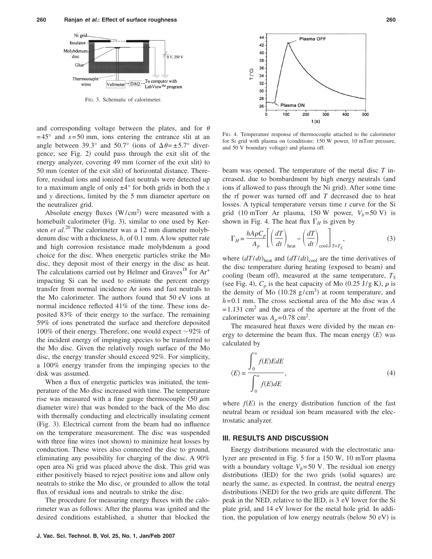

FIG. 3. Schematic of calorimeter.

and corresponding voltage between the plates, and for  $\theta$  $= 45^{\circ}$  and  $x = 50$  mm, ions entering the entrance slit at an angle between 39.3° and 50.7° (ions of  $\Delta \theta = \pm 5.7$ ° divergence; see Fig. 2) could pass through the exit slit of the energy analyzer, covering 49 mm (corner of the exit slit) to 50 mm (center of the exit slit) of horizontal distance. Therefore, residual ions and ionized fast neutrals were detected up to a maximum angle of only ±4° for both grids in both the *x* and *y* directions, limited by the 5 mm diameter aperture on the neutralizer grid.

Absolute energy fluxes  $(W/cm<sup>2</sup>)$  were measured with a homebuilt calorimeter (Fig. 3), similar to one used by Kersten *et al.*<sup>20</sup> The calorimeter was a 12 mm diameter molybdenum disc with a thickness, *h*, of 0.1 mm. A low sputter rate and high corrosion resistance made molybdenum a good choice for the disc. When energetic particles strike the Mo disc, they deposit most of their energy in the disc as heat. The calculations carried out by Helmer and Graves<sup>18</sup> for  $Ar^+$ impacting Si can be used to estimate the percent energy transfer from normal incidence Ar ions and fast neutrals to the Mo calorimeter. The authors found that 50 eV ions at normal incidence reflected 41% of the time. These ions deposited 83% of their energy to the surface. The remaining 59% of ions penetrated the surface and therefore deposited 100% of their energy. Therefore, one would expect  $\sim 92\%$  of the incident energy of impinging species to be transferred to the Mo disc. Given the relatively rough surface of the Mo disc, the energy transfer should exceed 92%. For simplicity, a 100% energy transfer from the impinging species to the disk was assumed.

When a flux of energetic particles was initiated, the temperature of the Mo disc increased with time. The temperature rise was measured with a fine gauge thermocouple  $(50 \mu m)$ diameter wire) that was bonded to the back of the Mo disc with thermally conducting and electrically insulating cement (Fig. 3). Electrical current from the beam had no influence on the temperature measurement. The disc was suspended with three fine wires (not shown) to minimize heat losses by conduction. These wires also connected the disc to ground, eliminating any possibility for charging of the disc. A 90% open area Ni grid was placed above the disk. This grid was either positively biased to reject positive ions and allow only neutrals to strike the Mo disc, or grounded to allow the total flux of residual ions and neutrals to strike the disc.

The procedure for measuring energy fluxes with the calorimeter was as follows: After the plasma was ignited and the desired conditions established, a shutter that blocked the



FIG. 4. Temperature response of thermocouple attached to the calorimeter for Si grid with plasma on (conditions: 150 W power, 10 mTorr pressure, and 50 V boundary voltage) and plasma off.

beam was opened. The temperature of the metal disc *T* increased, due to bombardment by high energy neutrals (and ions if allowed to pass through the Ni grid). After some time the rf power was turned off and *T* decreased due to heat losses. A typical temperature versus time *t* curve for the Si grid (10 mTorr Ar plasma, 150 W power,  $V_b = 50 \text{ V}$ ) is shown in Fig. 4. The heat flux  $\Gamma_H$  is given by

$$
\Gamma_H = \frac{hA\rho C_p}{A_p} \left[ \left( \frac{dT}{dt} \right)_{\text{heat}} - \left( \frac{dT}{dt} \right)_{\text{cool}} \right]_{T=T_s},\tag{3}
$$

where  $(dT/dt)_{\text{heat}}$  and  $(dT/dt)_{\text{cool}}$  are the time derivatives of the disc temperature during heating (exposed to beam) and cooling (beam off), measured at the same temperature,  $T_S$ (see Fig. 4),  $C_p$  is the heat capacity of Mo (0.25 J/g K),  $\rho$  is the density of Mo  $(10.28 \text{ g/cm}^3)$  at room temperature, and *h*= 0.1 mm. The cross sectional area of the Mo disc was *A*  $= 1.131$  cm<sup>2</sup> and the area of the aperture at the front of the calorimeter was  $A_p = 0.78$  cm<sup>2</sup>.

The measured heat fluxes were divided by the mean energy to determine the beam flux. The mean energy  $\langle E \rangle$  was calculated by

$$
\langle E \rangle = \frac{\int_0^\infty f(E)E dE}{\int_0^\infty f(E) dE},\tag{4}
$$

where  $f(E)$  is the energy distribution function of the fast neutral beam or residual ion beam measured with the electrostatic analyzer.

### **III. RESULTS AND DISCUSSION**

Energy distributions measured with the electrostatic analyzer are presented in Fig. 5 for a 150 W, 10 mTorr plasma with a boundary voltage  $V_b$ =50 V. The residual ion energy distributions (IED) for the two grids (solid squares) are nearly the same, as expected. In contrast, the neutral energy distributions (NED) for the two grids are quite different. The peak in the NED, relative to the IED, is 3 eV lower for the Si plate grid, and 14 eV lower for the metal hole grid. In addition, the population of low energy neutrals (below 50 eV) is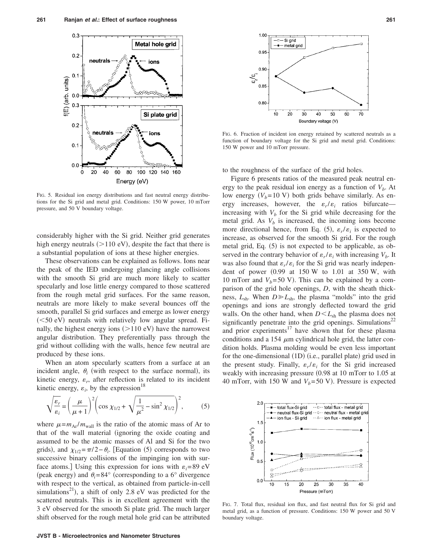

FIG. 5. Residual ion energy distributions and fast neutral energy distributions for the Si grid and metal grid. Conditions: 150 W power, 10 mTorr pressure, and 50 V boundary voltage.

considerably higher with the Si grid. Neither grid generates high energy neutrals  $(>110$  eV), despite the fact that there is a substantial population of ions at these higher energies.

These observations can be explained as follows. Ions near the peak of the IED undergoing glancing angle collisions with the smooth Si grid are much more likely to scatter specularly and lose little energy compared to those scattered from the rough metal grid surfaces. For the same reason, neutrals are more likely to make several bounces off the smooth, parallel Si grid surfaces and emerge as lower energy (<50 eV) neutrals with relatively low angular spread. Finally, the highest energy ions  $(>110$  eV) have the narrowest angular distribution. They preferentially pass through the grid without colliding with the walls, hence few neutral are produced by these ions.

When an atom specularly scatters from a surface at an incident angle,  $\theta_i$  (with respect to the surface normal), its kinetic energy,  $\varepsilon_r$ , after reflection is related to its incident kinetic energy,  $\varepsilon_i$ , by the expression<sup>18</sup>

$$
\sqrt{\frac{\varepsilon_r}{\varepsilon_i}} = \left(\frac{\mu}{\mu + 1}\right)^2 \left(\cos \chi_{1/2} + \sqrt{\frac{1}{\mu^2} - \sin^2 \chi_{1/2}}\right)^2, \tag{5}
$$

where  $\mu = m_{Ar}/m_{wall}$  is the ratio of the atomic mass of Ar to that of the wall material (ignoring the oxide coating and assumed to be the atomic masses of Al and Si for the two grids), and  $\chi_{1/2} = \pi/2 - \theta_i$ . [Equation (5) corresponds to two successive binary collisions of the impinging ion with surface atoms.] Using this expression for ions with  $\varepsilon_i = 89$  eV (peak energy) and  $\theta_i = 84^\circ$  (corresponding to a 6° divergence with respect to the vertical, as obtained from particle-in-cell simulations<sup>21</sup>), a shift of only 2.8 eV was predicted for the scattered neutrals. This is in excellent agreement with the 3 eV observed for the smooth Si plate grid. The much larger shift observed for the rough metal hole grid can be attributed





FIG. 6. Fraction of incident ion energy retained by scattered neutrals as a function of boundary voltage for the Si grid and metal grid. Conditions: 150 W power and 10 mTorr pressure.

to the roughness of the surface of the grid holes.

Figure 6 presents ratios of the measured peak neutral energy to the peak residual ion energy as a function of  $V<sub>b</sub>$ . At low energy  $(V_b=10 \text{ V})$  both grids behave similarly. As energy increases, however, the  $\varepsilon_r/\varepsilon_i$  ratios bifurcate increasing with  $V_b$  for the Si grid while decreasing for the metal grid. As  $V<sub>b</sub>$  is increased, the incoming ions become more directional hence, from Eq. (5),  $\varepsilon_r/\varepsilon_i$  is expected to increase, as observed for the smooth Si grid. For the rough metal grid, Eq. (5) is not expected to be applicable, as observed in the contrary behavior of  $\varepsilon_r/\varepsilon_i$  with increasing  $V_b$ . It was also found that  $\varepsilon_r/\varepsilon_i$  for the Si grid was nearly independent of power  $(0.99$  at  $150$  W to  $1.01$  at  $350$  W, with 10 mTorr and  $V_b = 50$  V). This can be explained by a comparison of the grid hole openings, *D*, with the sheath thickness,  $L_{\rm sh}$ . When  $D \ge L_{\rm sh}$ , the plasma "molds" into the grid openings and ions are strongly deflected toward the grid walls. On the other hand, when  $D \leq L_{\text{sh}}$  the plasma does not significantly penetrate into the grid openings. Simulations<sup>22</sup> and prior experiments<sup>17</sup> have shown that for these plasma conditions and a 154  $\mu$ m cylindrical hole grid, the latter condition holds. Plasma molding would be even less important for the one-dimensional (1D) (i.e., parallel plate) grid used in the present study. Finally,  $\varepsilon_r/\varepsilon_i$  for the Si grid increased weakly with increasing pressure (0.98 at 10 mTorr to 1.05 at 40 mTorr, with 150 W and  $V_b = 50$  V). Pressure is expected



FIG. 7. Total flux, residual ion flux, and fast neutral flux for Si grid and metal grid, as a function of pressure. Conditions: 150 W power and 50 V boundary voltage.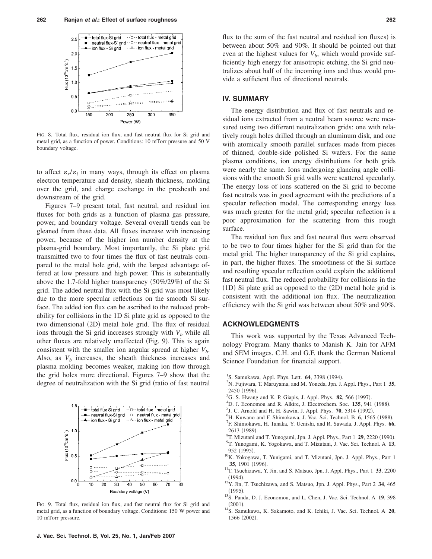

FIG. 8. Total flux, residual ion flux, and fast neutral flux for Si grid and metal grid, as a function of power. Conditions: 10 mTorr pressure and 50 V boundary voltage.

to affect  $\varepsilon_r/\varepsilon_i$  in many ways, through its effect on plasma electron temperature and density, sheath thickness, molding over the grid, and charge exchange in the presheath and downstream of the grid.

Figures 7–9 present total, fast neutral, and residual ion fluxes for both grids as a function of plasma gas pressure, power, and boundary voltage. Several overall trends can be gleaned from these data. All fluxes increase with increasing power, because of the higher ion number density at the plasma-grid boundary. Most importantly, the Si plate grid transmitted two to four times the flux of fast neutrals compared to the metal hole grid, with the largest advantage offered at low pressure and high power. This is substantially above the 1.7-fold higher transparency (50%/29%) of the Si grid. The added neutral flux with the Si grid was most likely due to the more specular reflections on the smooth Si surface. The added ion flux can be ascribed to the reduced probability for collisions in the 1D Si plate grid as opposed to the two dimensional (2D) metal hole grid. The flux of residual ions through the Si grid increases strongly with  $V_b$  while all other fluxes are relatively unaffected (Fig. 9). This is again consistent with the smaller ion angular spread at higher  $V_b$ . Also, as  $V<sub>b</sub>$  increases, the sheath thickness increases and plasma molding becomes weaker, making ion flow through the grid holes more directional. Figures 7–9 show that the degree of neutralization with the Si grid (ratio of fast neutral



FIG. 9. Total flux, residual ion flux, and fast neutral flux for Si grid and metal grid, as a function of boundary voltage. Conditions: 150 W power and 10 mTorr pressure.

#### **IV. SUMMARY**

The energy distribution and flux of fast neutrals and residual ions extracted from a neutral beam source were measured using two different neutralization grids: one with relatively rough holes drilled through an aluminum disk, and one with atomically smooth parallel surfaces made from pieces of thinned, double-side polished Si wafers. For the same plasma conditions, ion energy distributions for both grids were nearly the same. Ions undergoing glancing angle collisions with the smooth Si grid walls were scattered specularly. The energy loss of ions scattered on the Si grid to become fast neutrals was in good agreement with the predictions of a specular reflection model. The corresponding energy loss was much greater for the metal grid; specular reflection is a poor approximation for the scattering from this rough surface.

The residual ion flux and fast neutral flux were observed to be two to four times higher for the Si grid than for the metal grid. The higher transparency of the Si grid explains, in part, the higher fluxes. The smoothness of the Si surface and resulting specular reflection could explain the additional fast neutral flux. The reduced probability for collisions in the (1D) Si plate grid as opposed to the (2D) metal hole grid is consistent with the additional ion flux. The neutralization efficiency with the Si grid was between about 50% and 90%.

### **ACKNOWLEDGMENTS**

This work was supported by the Texas Advanced Technology Program. Many thanks to Manish K. Jain for AFM and SEM images. C.H. and G.F. thank the German National Science Foundation for financial support.

- <sup>1</sup>S. Samukawa, Appl. Phys. Lett. **64**, 3398 (1994).
- N. Fujiwara, T. Maruyama, and M. Yoneda, Jpn. J. Appl. Phys., Part 1 **35**,  $^{2450}$  (1996).
- <sup>3</sup>G. S. Hwang and K. P. Giapis, J. Appl. Phys. **82**, 566 (1997).
- <sup>4</sup>D. J. Economou and R. Alkire, J. Electrochem. Soc. **135**, 941 (1988).
- $^{5}$ J. C. Arnold and H. H. Sawin, J. Appl. Phys. **70**, 5314 (1992).
- <sup>6</sup>H. Kuwano and F. Shimokawa, J. Vac. Sci. Technol. B **6**, 1565 (1988).<br><sup>7</sup>E. Shimokawa, H. Tanaka, Y. Hanishi, and B. Sawada, J. Anal. Phys. 66 F. Shimokawa, H. Tanaka, Y. Uenishi, and R. Sawada, J. Appl. Phys. **66**,
- $2613$  (1989).<br><sup>8</sup>T Mizuteni s
- <sup>8</sup>T. Mizutani and T. Yunogami, Jpn. J. Appl. Phys., Part 1 **29**, 2220 (1990).<br><sup>9</sup>T. Yunogami, K. Yogakawa, and T. Migutani, J. Vac. Sci. Technol. A 13
- T. Yunogami, K. Yogokawa, and T. Mizutani, J. Vac. Sci. Technol. A **13**, 952 (1995).
- $^{10}$ K. Yokogawa, T. Yunigami, and T. Mizutani, Jpn. J. Appl. Phys., Part 1 35, 1901 (1996).
- <sup>11</sup>T. Tsuchizawa, Y. Jin, and S. Matsuo, Jpn. J. Appl. Phys., Part 1 33, 2200  $(1994).$
- . 12Y. Jin, T. Tsuchizawa, and S. Matsuo, Jpn. J. Appl. Phys., Part 2 **<sup>34</sup>**, 465  $(1995)$
- <sup>13</sup>S. Panda, D. J. Economou, and L. Chen, J. Vac. Sci. Technol. A **19**, 398  $(2001).$
- <sup>14</sup>S. Samukawa, K. Sakamoto, and K. Ichiki, J. Vac. Sci. Technol. A 20, 1566 (2002).